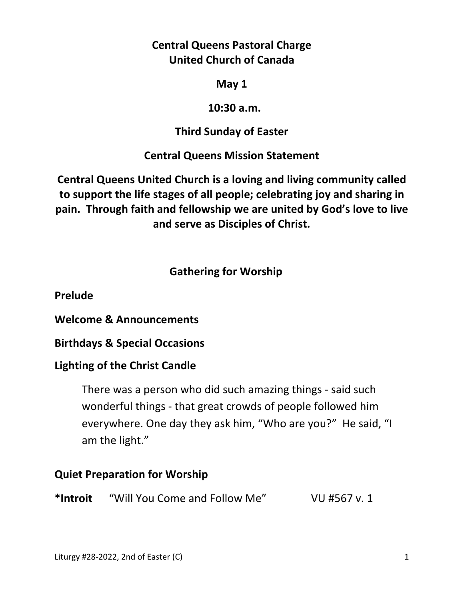## **Central Queens Pastoral Charge United Church of Canada**

#### **May 1**

#### **10:30 a.m.**

## **Third Sunday of Easter**

## **Central Queens Mission Statement**

**Central Queens United Church is a loving and living community called to support the life stages of all people; celebrating joy and sharing in pain. Through faith and fellowship we are united by God's love to live and serve as Disciples of Christ.**

# **Gathering for Worship**

**Prelude** 

**Welcome & Announcements** 

**Birthdays & Special Occasions** 

# **Lighting of the Christ Candle**

There was a person who did such amazing things - said such wonderful things - that great crowds of people followed him everywhere. One day they ask him, "Who are you?" He said, "I am the light."

# **Quiet Preparation for Worship**

**\*Introit** "Will You Come and Follow Me" VU #567 v. 1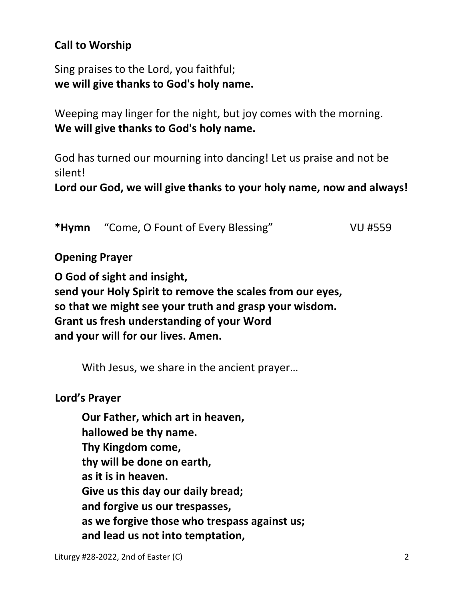## **Call to Worship**

Sing praises to the Lord, you faithful; **we will give thanks to God's holy name.** 

Weeping may linger for the night, but joy comes with the morning. **We will give thanks to God's holy name.** 

God has turned our mourning into dancing! Let us praise and not be silent!

**Lord our God, we will give thanks to your holy name, now and always!** 

**\*Hymn** "Come, O Fount of Every Blessing"VU #559

**Opening Prayer** 

**O God of sight and insight,** 

**send your Holy Spirit to remove the scales from our eyes, so that we might see your truth and grasp your wisdom. Grant us fresh understanding of your Word and your will for our lives. Amen.** 

With Jesus, we share in the ancient prayer…

**Lord's Prayer** 

**Our Father, which art in heaven, hallowed be thy name. Thy Kingdom come, thy will be done on earth, as it is in heaven. Give us this day our daily bread; and forgive us our trespasses, as we forgive those who trespass against us; and lead us not into temptation,**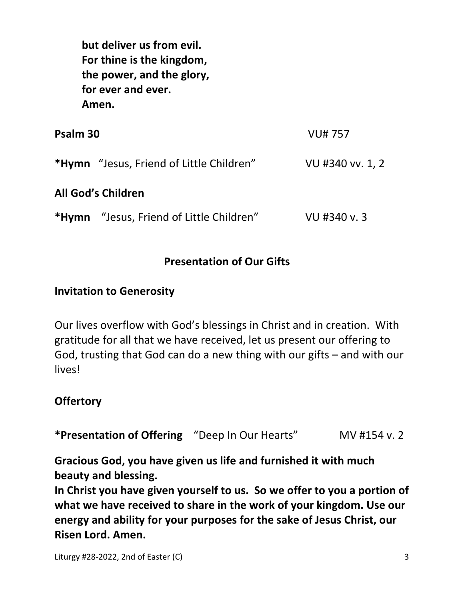|                    | but deliver us from evil.<br>For thine is the kingdom,<br>the power, and the glory,<br>for ever and ever.<br>Amen. |                  |
|--------------------|--------------------------------------------------------------------------------------------------------------------|------------------|
| Psalm 30           |                                                                                                                    | <b>VU# 757</b>   |
|                    | <b>*Hymn</b> "Jesus, Friend of Little Children"                                                                    | VU #340 vv. 1, 2 |
| All God's Children |                                                                                                                    |                  |
|                    | <b>*Hymn</b> "Jesus, Friend of Little Children"                                                                    | VU #340 v.3      |

### **Presentation of Our Gifts**

### **Invitation to Generosity**

Our lives overflow with God's blessings in Christ and in creation. With gratitude for all that we have received, let us present our offering to God, trusting that God can do a new thing with our gifts – and with our lives!

### **Offertory**

**\*Presentation of Offering** "Deep In Our Hearts" MV #154 v. 2

**Gracious God, you have given us life and furnished it with much beauty and blessing.** 

**In Christ you have given yourself to us. So we offer to you a portion of what we have received to share in the work of your kingdom. Use our energy and ability for your purposes for the sake of Jesus Christ, our Risen Lord. Amen.** 

```
Liturgy #28-2022, 2nd of Easter (C) 3
```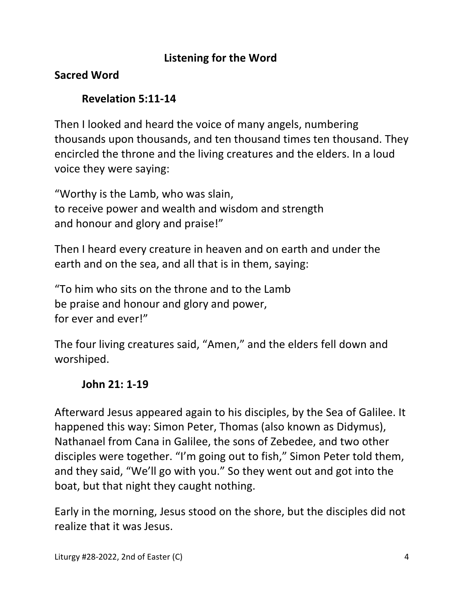## **Listening for the Word**

### **Sacred Word**

## **Revelation 5:11-14**

Then I looked and heard the voice of many angels, numbering thousands upon thousands, and ten thousand times ten thousand. They encircled the throne and the living creatures and the elders. In a loud voice they were saying:

"Worthy is the Lamb, who was slain, to receive power and wealth and wisdom and strength and honour and glory and praise!"

Then I heard every creature in heaven and on earth and under the earth and on the sea, and all that is in them, saying:

"To him who sits on the throne and to the Lamb be praise and honour and glory and power, for ever and ever!"

The four living creatures said, "Amen," and the elders fell down and worshiped.

## **John 21: 1-19**

Afterward Jesus appeared again to his disciples, by the Sea of Galilee. It happened this way: Simon Peter, Thomas (also known as Didymus), Nathanael from Cana in Galilee, the sons of Zebedee, and two other disciples were together. "I'm going out to fish," Simon Peter told them, and they said, "We'll go with you." So they went out and got into the boat, but that night they caught nothing.

Early in the morning, Jesus stood on the shore, but the disciples did not realize that it was Jesus.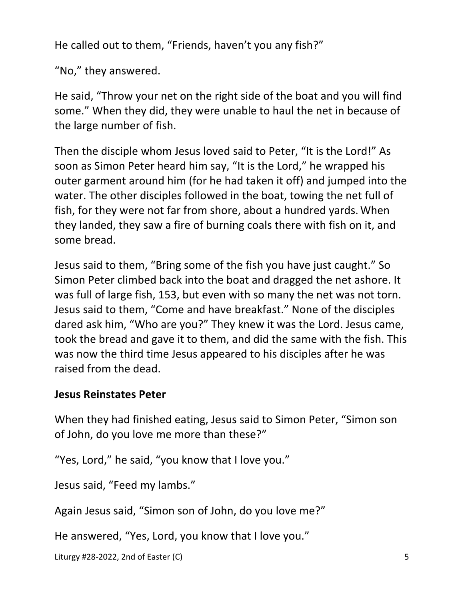He called out to them, "Friends, haven't you any fish?"

"No," they answered.

He said, "Throw your net on the right side of the boat and you will find some." When they did, they were unable to haul the net in because of the large number of fish.

Then the disciple whom Jesus loved said to Peter, "It is the Lord!" As soon as Simon Peter heard him say, "It is the Lord," he wrapped his outer garment around him (for he had taken it off) and jumped into the water. The other disciples followed in the boat, towing the net full of fish, for they were not far from shore, about a hundred yards. When they landed, they saw a fire of burning coals there with fish on it, and some bread.

Jesus said to them, "Bring some of the fish you have just caught." So Simon Peter climbed back into the boat and dragged the net ashore. It was full of large fish, 153, but even with so many the net was not torn. Jesus said to them, "Come and have breakfast." None of the disciples dared ask him, "Who are you?" They knew it was the Lord. Jesus came, took the bread and gave it to them, and did the same with the fish. This was now the third time Jesus appeared to his disciples after he was raised from the dead.

## **Jesus Reinstates Peter**

When they had finished eating, Jesus said to Simon Peter, "Simon son of John, do you love me more than these?"

```
"Yes, Lord," he said, "you know that I love you."
```
Jesus said, "Feed my lambs."

Again Jesus said, "Simon son of John, do you love me?"

He answered, "Yes, Lord, you know that I love you."

```
Liturgy #28-2022, 2nd of Easter (C) 5
```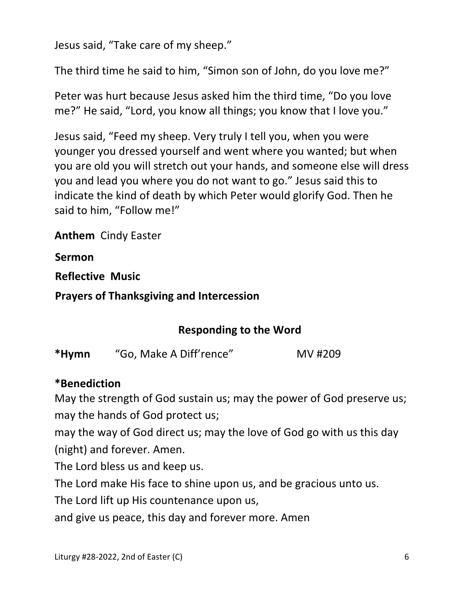Jesus said, "Take care of my sheep."

The third time he said to him, "Simon son of John, do you love me?"

Peter was hurt because Jesus asked him the third time, "Do you love me?" He said, "Lord, you know all things; you know that I love you."

Jesus said, "Feed my sheep. Very truly I tell you, when you were younger you dressed yourself and went where you wanted; but when you are old you will stretch out your hands, and someone else will dress you and lead you where you do not want to go." Jesus said this to indicate the kind of death by which Peter would glorify God. Then he said to him, "Follow me!"

**Anthem** Cindy Easter

**Sermon** 

**Reflective Music**

**Prayers of Thanksgiving and Intercession** 

### **Responding to the Word**

**\*Hymn** "Go, Make A Diff'rence" MV #209

#### **\*Benediction**

May the strength of God sustain us; may the power of God preserve us; may the hands of God protect us;

may the way of God direct us; may the love of God go with us this day (night) and forever. Amen.

The Lord bless us and keep us.

The Lord make His face to shine upon us, and be gracious unto us.

The Lord lift up His countenance upon us,

and give us peace, this day and forever more. Amen